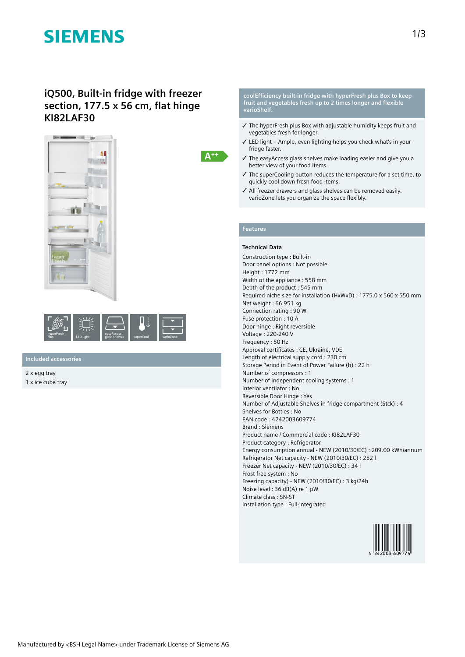# **SIEMENS**

### **iQ500, Built-in fridge with freezer section, 177.5 x 56 cm, flat hinge KI82LAF30**





**Included accessories**

2 x egg tray 1 x ice cube tray

#### **coolEfficiency built-in fridge with hyperFresh plus Box to keep fruit and vegetables fresh up to 2 times longer and flexible varioShelf.**

- ✓ The hyperFresh plus Box with adjustable humidity keeps fruit and vegetables fresh for longer.
- ✓ LED light Ample, even lighting helps you check what's in your fridge faster.
- ✓ The easyAccess glass shelves make loading easier and give you a better view of your food items.
- ✓ The superCooling button reduces the temperature for a set time, to quickly cool down fresh food items.
- ✓ All freezer drawers and glass shelves can be removed easily. varioZone lets you organize the space flexibly.

### **Features**

 $A^{++}$ 

#### **Technical Data**

Construction type : Built-in Door panel options : Not possible Height : 1772 mm Width of the appliance : 558 mm Depth of the product : 545 mm Required niche size for installation (HxWxD) : 1775.0 x 560 x 550 mm Net weight : 66.951 kg Connection rating : 90 W Fuse protection : 10 A Door hinge : Right reversible Voltage : 220-240 V Frequency : 50 Hz Approval certificates : CE, Ukraine, VDE Length of electrical supply cord : 230 cm Storage Period in Event of Power Failure (h) : 22 h Number of compressors : 1 Number of independent cooling systems : 1 Interior ventilator : No Reversible Door Hinge : Yes Number of Adjustable Shelves in fridge compartment (Stck) : 4 Shelves for Bottles : No EAN code : 4242003609774 Brand : Siemens Product name / Commercial code : KI82LAF30 Product category : Refrigerator Energy consumption annual - NEW (2010/30/EC) : 209.00 kWh/annum Refrigerator Net capacity - NEW (2010/30/EC) : 252 l Freezer Net capacity - NEW (2010/30/EC) : 34 l Frost free system : No Freezing capacity) - NEW (2010/30/EC) : 3 kg/24h Noise level : 36 dB(A) re 1 pW Climate class : SN-ST Installation type : Full-integrated

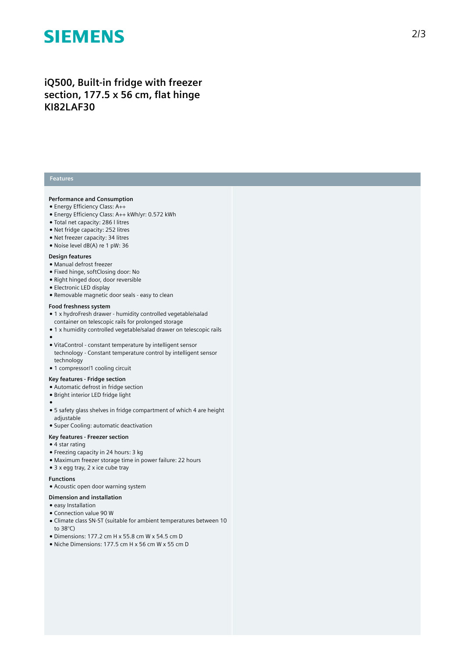# **SIEMENS**

## iQ500, Built-in fridge with freezer section, 177.5 x 56 cm, flat hinge **K I 8 2 L A F 3 0**

#### **Features**

#### Performance and Consumption

- Energy Efficiency Class: A++
- Energy Efficiency Class: A++ kWh/yr: 0.572 kWh
- Total net capacity: 286 I litres
- Net fridge capacity: 252 litres
- Net freezer capacity: 34 litres
- Noise level dB(A) re 1 pW: 36

#### Design features

- Manual defrost freezer
- Fixed hinge, softClosing door: No
- Right hinged door, door reversible
- Electronic LED display
- Removable magnetic door seals easy to clean

#### Food freshness system

- 1 x hydroFresh drawer humidity controlled vegetable/salad container on telescopic rails for prolonged storage
- 1 x humidity controlled vegetable/salad drawer on telescopic rails
- 
- ●<br>● VitaControl constant temperature by intelligent sensor technology - Constant temperature control by intelligent sensor technology
- 1 compressor/1 cooling circuit

### **Key features - Fridge section**

- Automatic defrost in fridge section
- Bright interior LED fridge light
- 
- ●<br>● 5 safety glass shelves in fridge compartment of which 4 are height a d j u s t a ble
- Super Cooling: automatic deactivation
- Key features Freezer section

#### • 4 star rating

- $\bullet$  Freezing capacity in 24 hours: 3 kg
- Maximum freezer storage time in power failure: 22 hours
- $\bullet$  3 x egg tray, 2 x ice cube tray

#### **F u n c t i o n s**

• Acoustic open door warning system

#### Dimension and installation

- easy Installation
- Connection value 90 W
- Climate class SN-ST (suitable for ambient temperatures between 10 t o 3 8 ° C )
- Dimensions: 177.2 cm H x 55.8 cm W x 54.5 cm D
- Niche Dimensions: 177.5 cm H x 56 cm W x 55 cm D